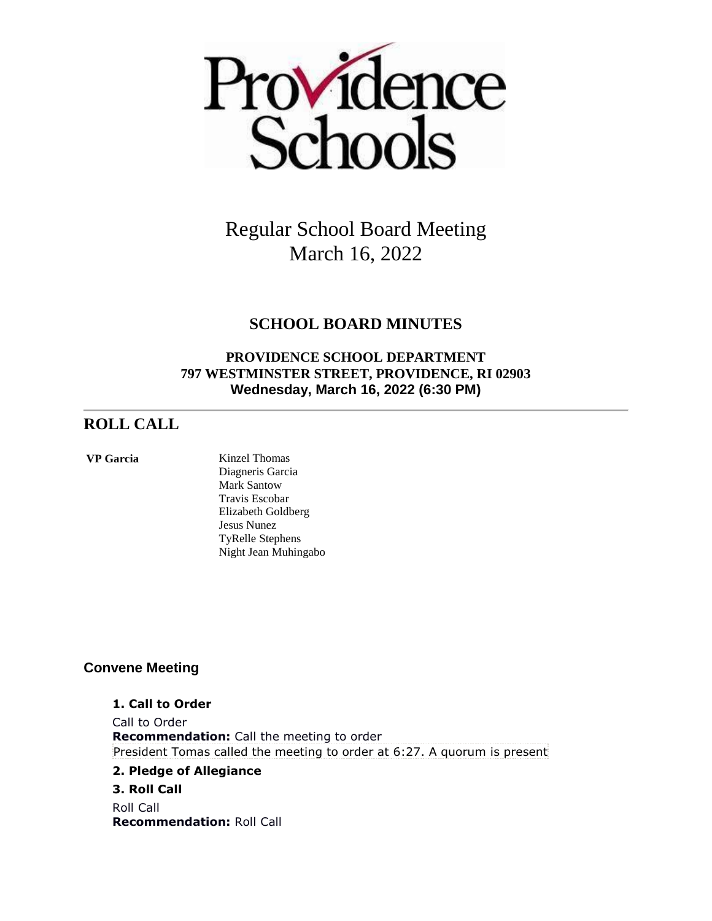

# **SCHOOL BOARD MINUTES**

# **PROVIDENCE SCHOOL DEPARTMENT 797 WESTMINSTER STREET, PROVIDENCE, RI 02903 Wednesday, March 16, 2022 (6:30 PM)**

# **ROLL CALL**

#### **VP Garcia** Kinzel Thomas

Diagneris Garcia Mark Santow Travis Escobar Elizabeth Goldberg Jesus Nunez TyRelle Stephens Night Jean Muhingabo

# **Convene Meeting**

### **1. Call to Order**

Call to Order **Recommendation:** Call the meeting to order President Tomas called the meeting to order at 6:27. A quorum is present

## **2. Pledge of Allegiance**

## **3. Roll Call**

Roll Call **Recommendation:** Roll Call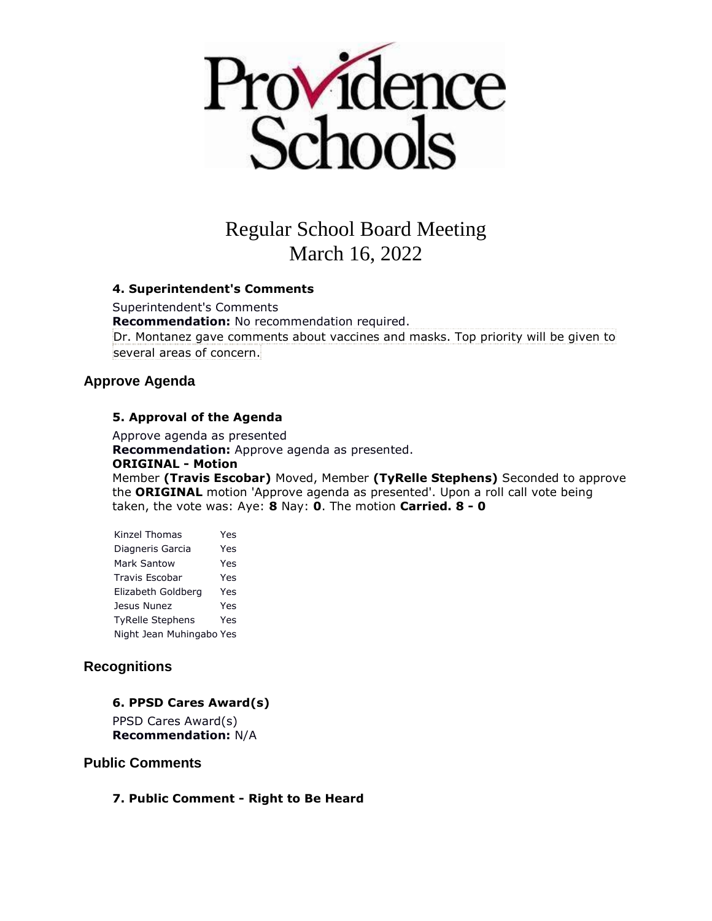

### **4. Superintendent's Comments**

Superintendent's Comments **Recommendation:** No recommendation required. Dr. Montanez gave comments about vaccines and masks. Top priority will be given to several areas of concern.

## **Approve Agenda**

### **5. Approval of the Agenda**

Approve agenda as presented **Recommendation:** Approve agenda as presented. **ORIGINAL - Motion** Member **(Travis Escobar)** Moved, Member **(TyRelle Stephens)** Seconded to approve the **ORIGINAL** motion 'Approve agenda as presented'. Upon a roll call vote being taken, the vote was: Aye: **8** Nay: **0**. The motion **Carried. 8 - 0** 

| Kinzel Thomas            | Yes |
|--------------------------|-----|
| Diagneris Garcia         | Yes |
| <b>Mark Santow</b>       | Yes |
| <b>Travis Escobar</b>    | Yes |
| Elizabeth Goldberg       | Yes |
| Jesus Nunez              | Yes |
| <b>TyRelle Stephens</b>  | Yes |
| Night Jean Muhingabo Yes |     |

# **Recognitions**

## **6. PPSD Cares Award(s)**

PPSD Cares Award(s) **Recommendation:** N/A

### **Public Comments**

## **7. Public Comment - Right to Be Heard**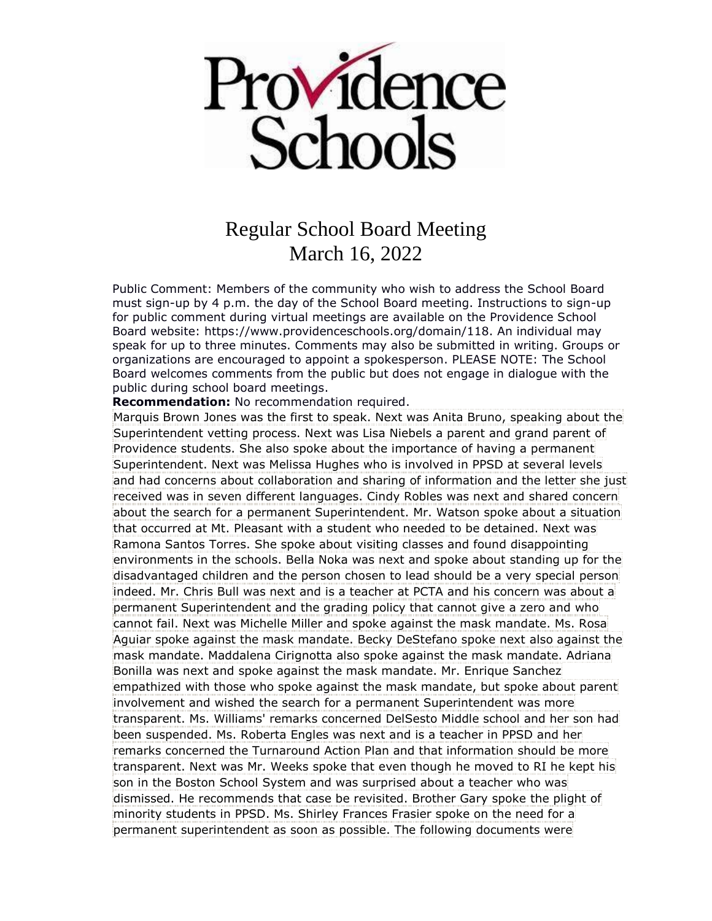

Public Comment: Members of the community who wish to address the School Board must sign-up by 4 p.m. the day of the School Board meeting. Instructions to sign-up for public comment during virtual meetings are available on the Providence School Board website: https://www.providenceschools.org/domain/118. An individual may speak for up to three minutes. Comments may also be submitted in writing. Groups or organizations are encouraged to appoint a spokesperson. PLEASE NOTE: The School Board welcomes comments from the public but does not engage in dialogue with the public during school board meetings.

**Recommendation:** No recommendation required.

Marquis Brown Jones was the first to speak. Next was Anita Bruno, speaking about the Superintendent vetting process. Next was Lisa Niebels a parent and grand parent of Providence students. She also spoke about the importance of having a permanent Superintendent. Next was Melissa Hughes who is involved in PPSD at several levels and had concerns about collaboration and sharing of information and the letter she just received was in seven different languages. Cindy Robles was next and shared concern about the search for a permanent Superintendent. Mr. Watson spoke about a situation that occurred at Mt. Pleasant with a student who needed to be detained. Next was Ramona Santos Torres. She spoke about visiting classes and found disappointing environments in the schools. Bella Noka was next and spoke about standing up for the disadvantaged children and the person chosen to lead should be a very special person indeed. Mr. Chris Bull was next and is a teacher at PCTA and his concern was about a permanent Superintendent and the grading policy that cannot give a zero and who cannot fail. Next was Michelle Miller and spoke against the mask mandate. Ms. Rosa Aguiar spoke against the mask mandate. Becky DeStefano spoke next also against the mask mandate. Maddalena Cirignotta also spoke against the mask mandate. Adriana Bonilla was next and spoke against the mask mandate. Mr. Enrique Sanchez empathized with those who spoke against the mask mandate, but spoke about parent involvement and wished the search for a permanent Superintendent was more transparent. Ms. Williams' remarks concerned DelSesto Middle school and her son had been suspended. Ms. Roberta Engles was next and is a teacher in PPSD and her remarks concerned the Turnaround Action Plan and that information should be more transparent. Next was Mr. Weeks spoke that even though he moved to RI he kept his son in the Boston School System and was surprised about a teacher who was dismissed. He recommends that case be revisited. Brother Gary spoke the plight of minority students in PPSD. Ms. Shirley Frances Frasier spoke on the need for a permanent superintendent as soon as possible. The following documents were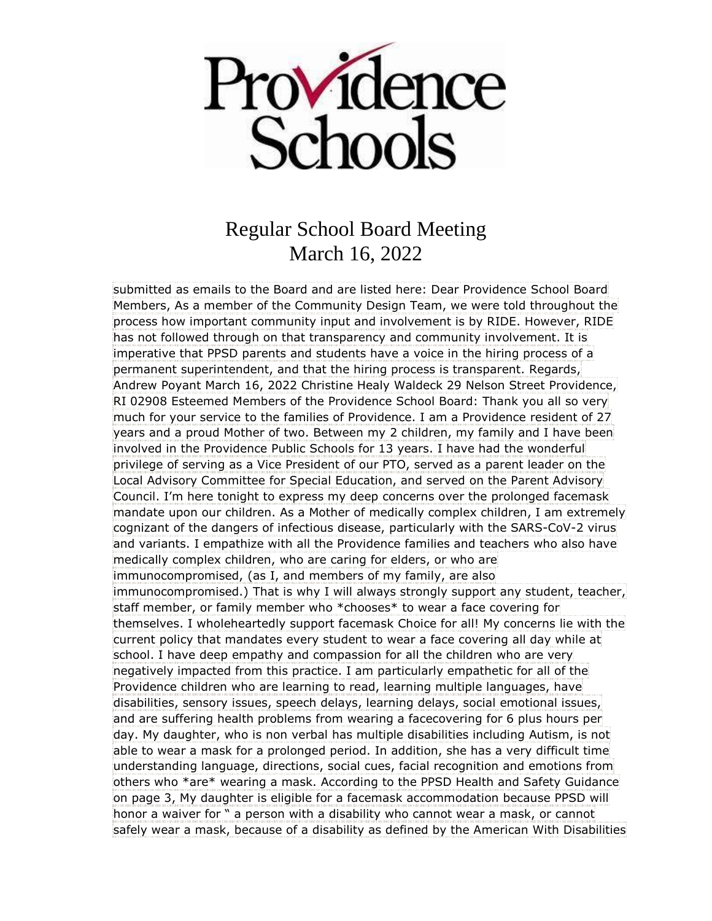

submitted as emails to the Board and are listed here: Dear Providence School Board Members, As a member of the Community Design Team, we were told throughout the process how important community input and involvement is by RIDE. However, RIDE has not followed through on that transparency and community involvement. It is imperative that PPSD parents and students have a voice in the hiring process of a permanent superintendent, and that the hiring process is transparent. Regards, Andrew Poyant March 16, 2022 Christine Healy Waldeck 29 Nelson Street Providence, RI 02908 Esteemed Members of the Providence School Board: Thank you all so very much for your service to the families of Providence. I am a Providence resident of 27 years and a proud Mother of two. Between my 2 children, my family and I have been involved in the Providence Public Schools for 13 years. I have had the wonderful privilege of serving as a Vice President of our PTO, served as a parent leader on the Local Advisory Committee for Special Education, and served on the Parent Advisory Council. I'm here tonight to express my deep concerns over the prolonged facemask mandate upon our children. As a Mother of medically complex children, I am extremely cognizant of the dangers of infectious disease, particularly with the SARS-CoV-2 virus and variants. I empathize with all the Providence families and teachers who also have medically complex children, who are caring for elders, or who are immunocompromised, (as I, and members of my family, are also immunocompromised.) That is why I will always strongly support any student, teacher, staff member, or family member who \*chooses\* to wear a face covering for themselves. I wholeheartedly support facemask Choice for all! My concerns lie with the current policy that mandates every student to wear a face covering all day while at school. I have deep empathy and compassion for all the children who are very negatively impacted from this practice. I am particularly empathetic for all of the Providence children who are learning to read, learning multiple languages, have disabilities, sensory issues, speech delays, learning delays, social emotional issues, and are suffering health problems from wearing a facecovering for 6 plus hours per day. My daughter, who is non verbal has multiple disabilities including Autism, is not able to wear a mask for a prolonged period. In addition, she has a very difficult time understanding language, directions, social cues, facial recognition and emotions from others who \*are\* wearing a mask. According to the PPSD Health and Safety Guidance on page 3, My daughter is eligible for a facemask accommodation because PPSD will honor a waiver for " a person with a disability who cannot wear a mask, or cannot safely wear a mask, because of a disability as defined by the American With Disabilities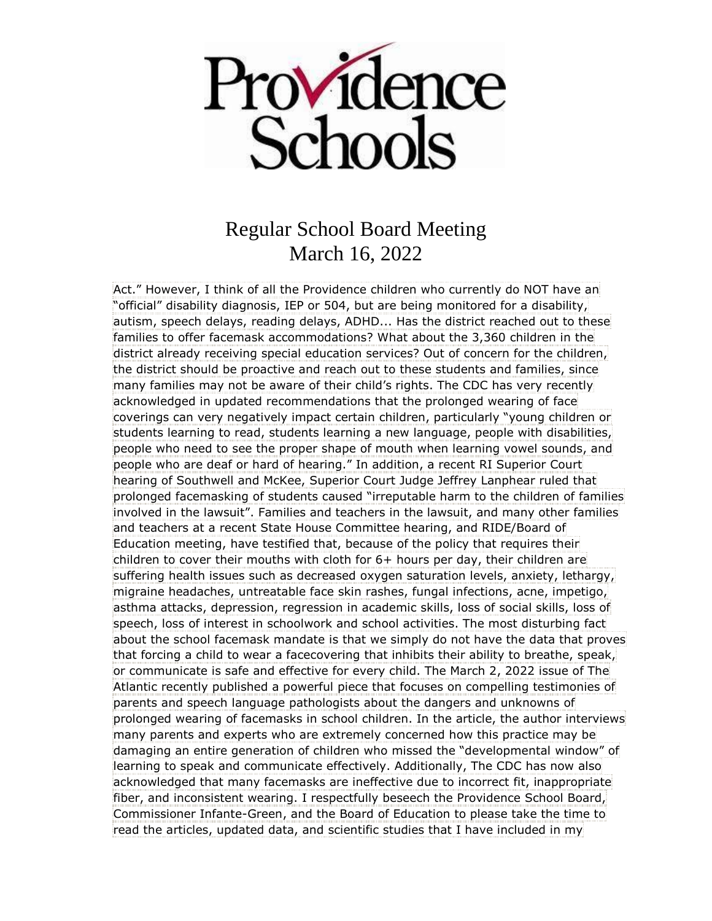

Act." However, I think of all the Providence children who currently do NOT have an "official" disability diagnosis, IEP or 504, but are being monitored for a disability, autism, speech delays, reading delays, ADHD... Has the district reached out to these families to offer facemask accommodations? What about the 3,360 children in the district already receiving special education services? Out of concern for the children, the district should be proactive and reach out to these students and families, since many families may not be aware of their child's rights. The CDC has very recently acknowledged in updated recommendations that the prolonged wearing of face coverings can very negatively impact certain children, particularly "young children or students learning to read, students learning a new language, people with disabilities, people who need to see the proper shape of mouth when learning vowel sounds, and people who are deaf or hard of hearing." In addition, a recent RI Superior Court hearing of Southwell and McKee, Superior Court Judge Jeffrey Lanphear ruled that prolonged facemasking of students caused "irreputable harm to the children of families involved in the lawsuit". Families and teachers in the lawsuit, and many other families and teachers at a recent State House Committee hearing, and RIDE/Board of Education meeting, have testified that, because of the policy that requires their children to cover their mouths with cloth for 6+ hours per day, their children are suffering health issues such as decreased oxygen saturation levels, anxiety, lethargy, migraine headaches, untreatable face skin rashes, fungal infections, acne, impetigo, asthma attacks, depression, regression in academic skills, loss of social skills, loss of speech, loss of interest in schoolwork and school activities. The most disturbing fact about the school facemask mandate is that we simply do not have the data that proves that forcing a child to wear a facecovering that inhibits their ability to breathe, speak, or communicate is safe and effective for every child. The March 2, 2022 issue of The Atlantic recently published a powerful piece that focuses on compelling testimonies of parents and speech language pathologists about the dangers and unknowns of prolonged wearing of facemasks in school children. In the article, the author interviews many parents and experts who are extremely concerned how this practice may be damaging an entire generation of children who missed the "developmental window" of learning to speak and communicate effectively. Additionally, The CDC has now also acknowledged that many facemasks are ineffective due to incorrect fit, inappropriate fiber, and inconsistent wearing. I respectfully beseech the Providence School Board, Commissioner Infante-Green, and the Board of Education to please take the time to read the articles, updated data, and scientific studies that I have included in my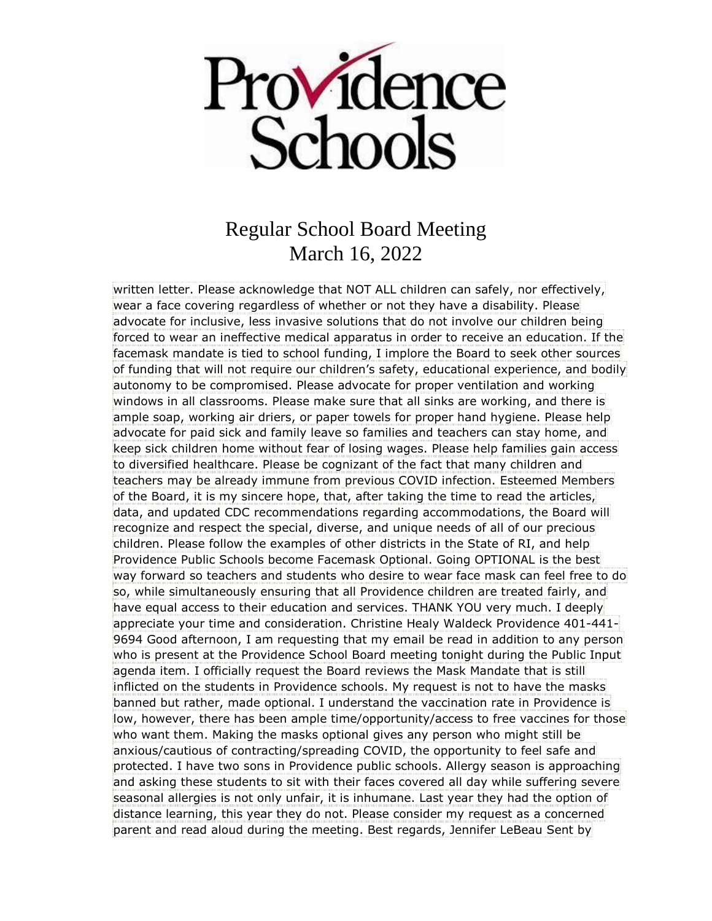

written letter. Please acknowledge that NOT ALL children can safely, nor effectively, wear a face covering regardless of whether or not they have a disability. Please advocate for inclusive, less invasive solutions that do not involve our children being forced to wear an ineffective medical apparatus in order to receive an education. If the facemask mandate is tied to school funding, I implore the Board to seek other sources of funding that will not require our children's safety, educational experience, and bodily autonomy to be compromised. Please advocate for proper ventilation and working windows in all classrooms. Please make sure that all sinks are working, and there is ample soap, working air driers, or paper towels for proper hand hygiene. Please help advocate for paid sick and family leave so families and teachers can stay home, and keep sick children home without fear of losing wages. Please help families gain access to diversified healthcare. Please be cognizant of the fact that many children and teachers may be already immune from previous COVID infection. Esteemed Members of the Board, it is my sincere hope, that, after taking the time to read the articles, data, and updated CDC recommendations regarding accommodations, the Board will recognize and respect the special, diverse, and unique needs of all of our precious children. Please follow the examples of other districts in the State of RI, and help Providence Public Schools become Facemask Optional. Going OPTIONAL is the best way forward so teachers and students who desire to wear face mask can feel free to do so, while simultaneously ensuring that all Providence children are treated fairly, and have equal access to their education and services. THANK YOU very much. I deeply appreciate your time and consideration. Christine Healy Waldeck Providence 401-441- 9694 Good afternoon, I am requesting that my email be read in addition to any person who is present at the Providence School Board meeting tonight during the Public Input agenda item. I officially request the Board reviews the Mask Mandate that is still inflicted on the students in Providence schools. My request is not to have the masks banned but rather, made optional. I understand the vaccination rate in Providence is low, however, there has been ample time/opportunity/access to free vaccines for those who want them. Making the masks optional gives any person who might still be anxious/cautious of contracting/spreading COVID, the opportunity to feel safe and protected. I have two sons in Providence public schools. Allergy season is approaching and asking these students to sit with their faces covered all day while suffering severe seasonal allergies is not only unfair, it is inhumane. Last year they had the option of distance learning, this year they do not. Please consider my request as a concerned parent and read aloud during the meeting. Best regards, Jennifer LeBeau Sent by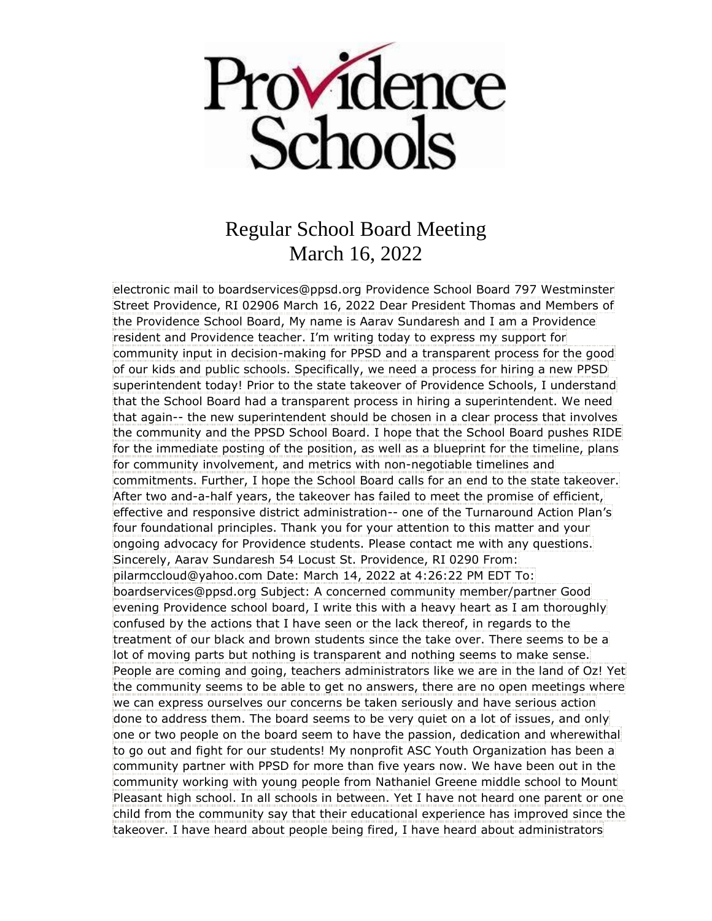

electronic mail to boardservices@ppsd.org Providence School Board 797 Westminster Street Providence, RI 02906 March 16, 2022 Dear President Thomas and Members of the Providence School Board, My name is Aarav Sundaresh and I am a Providence resident and Providence teacher. I'm writing today to express my support for community input in decision-making for PPSD and a transparent process for the good of our kids and public schools. Specifically, we need a process for hiring a new PPSD superintendent today! Prior to the state takeover of Providence Schools, I understand that the School Board had a transparent process in hiring a superintendent. We need that again-- the new superintendent should be chosen in a clear process that involves the community and the PPSD School Board. I hope that the School Board pushes RIDE for the immediate posting of the position, as well as a blueprint for the timeline, plans for community involvement, and metrics with non-negotiable timelines and commitments. Further, I hope the School Board calls for an end to the state takeover. After two and-a-half years, the takeover has failed to meet the promise of efficient, effective and responsive district administration-- one of the Turnaround Action Plan's four foundational principles. Thank you for your attention to this matter and your ongoing advocacy for Providence students. Please contact me with any questions. Sincerely, Aarav Sundaresh 54 Locust St. Providence, RI 0290 From: pilarmccloud@yahoo.com Date: March 14, 2022 at 4:26:22 PM EDT To: boardservices@ppsd.org Subject: A concerned community member/partner Good evening Providence school board, I write this with a heavy heart as I am thoroughly confused by the actions that I have seen or the lack thereof, in regards to the treatment of our black and brown students since the take over. There seems to be a lot of moving parts but nothing is transparent and nothing seems to make sense. People are coming and going, teachers administrators like we are in the land of Oz! Yet the community seems to be able to get no answers, there are no open meetings where we can express ourselves our concerns be taken seriously and have serious action done to address them. The board seems to be very quiet on a lot of issues, and only one or two people on the board seem to have the passion, dedication and wherewithal to go out and fight for our students! My nonprofit ASC Youth Organization has been a community partner with PPSD for more than five years now. We have been out in the community working with young people from Nathaniel Greene middle school to Mount Pleasant high school. In all schools in between. Yet I have not heard one parent or one child from the community say that their educational experience has improved since the takeover. I have heard about people being fired, I have heard about administrators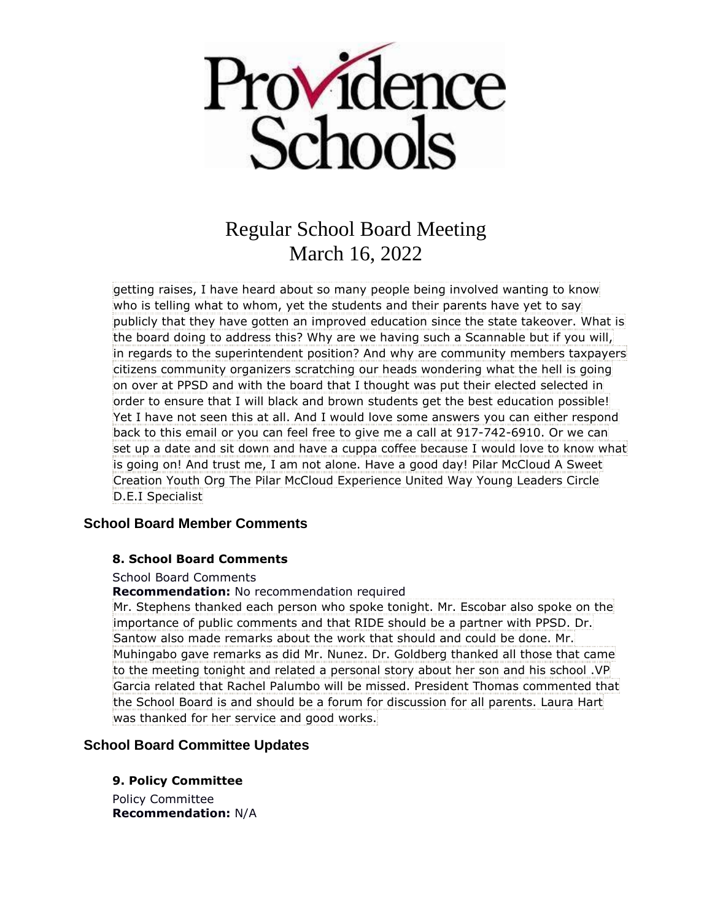

getting raises, I have heard about so many people being involved wanting to know who is telling what to whom, yet the students and their parents have yet to say publicly that they have gotten an improved education since the state takeover. What is the board doing to address this? Why are we having such a Scannable but if you will, in regards to the superintendent position? And why are community members taxpayers citizens community organizers scratching our heads wondering what the hell is going on over at PPSD and with the board that I thought was put their elected selected in order to ensure that I will black and brown students get the best education possible! Yet I have not seen this at all. And I would love some answers you can either respond back to this email or you can feel free to give me a call at 917-742-6910. Or we can set up a date and sit down and have a cuppa coffee because I would love to know what is going on! And trust me, I am not alone. Have a good day! Pilar McCloud A Sweet Creation Youth Org The Pilar McCloud Experience United Way Young Leaders Circle D.E.I Specialist

# **School Board Member Comments**

## **8. School Board Comments**

### School Board Comments

**Recommendation:** No recommendation required

Mr. Stephens thanked each person who spoke tonight. Mr. Escobar also spoke on the importance of public comments and that RIDE should be a partner with PPSD. Dr. Santow also made remarks about the work that should and could be done. Mr. Muhingabo gave remarks as did Mr. Nunez. Dr. Goldberg thanked all those that came to the meeting tonight and related a personal story about her son and his school .VP Garcia related that Rachel Palumbo will be missed. President Thomas commented that the School Board is and should be a forum for discussion for all parents. Laura Hart was thanked for her service and good works.

# **School Board Committee Updates**

**9. Policy Committee**

Policy Committee **Recommendation:** N/A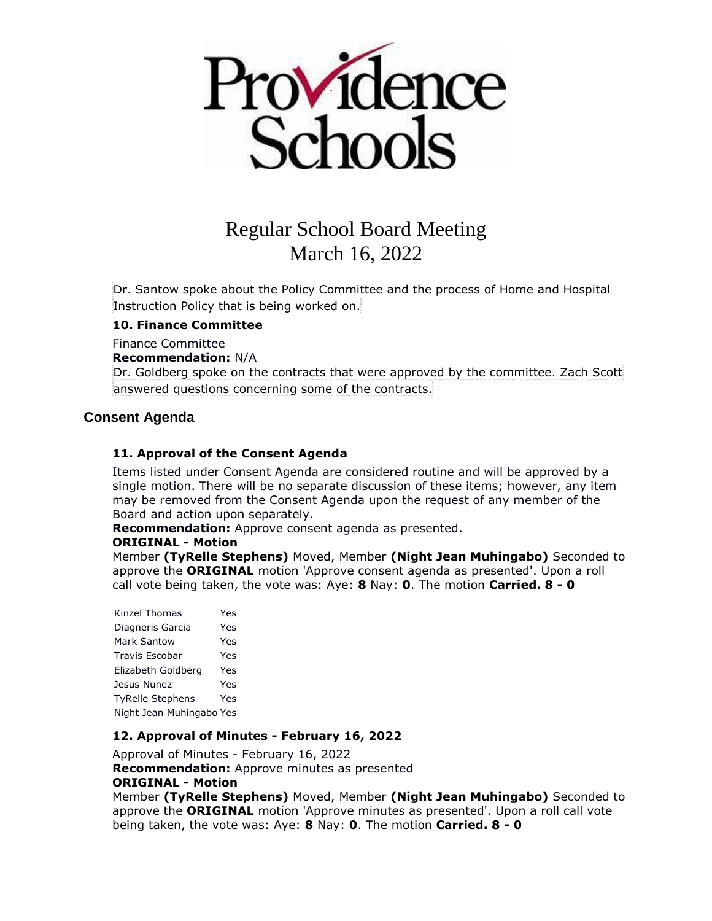

Dr. Santow spoke about the Policy Committee and the process of Home and Hospital Instruction Policy that is being worked on.

### **10. Finance Committee**

### Finance Committee

### **Recommendation:** N/A

Dr. Goldberg spoke on the contracts that were approved by the committee. Zach Scott answered questions concerning some of the contracts.

## **Consent Agenda**

### **11. Approval of the Consent Agenda**

Items listed under Consent Agenda are considered routine and will be approved by a single motion. There will be no separate discussion of these items; however, any item may be removed from the Consent Agenda upon the request of any member of the Board and action upon separately.

**Recommendation:** Approve consent agenda as presented.

### **ORIGINAL - Motion**

Member **(TyRelle Stephens)** Moved, Member **(Night Jean Muhingabo)** Seconded to approve the **ORIGINAL** motion 'Approve consent agenda as presented'. Upon a roll call vote being taken, the vote was: Aye: **8** Nay: **0**. The motion **Carried. 8 - 0** 

Kinzel Thomas Yes Diagneris Garcia Yes Mark Santow Yes Travis Escobar Yes Elizabeth Goldberg Yes Jesus Nunez Yes TyRelle Stephens Yes Night Jean Muhingabo Yes

## **12. Approval of Minutes - February 16, 2022**

Approval of Minutes - February 16, 2022 **Recommendation:** Approve minutes as presented **ORIGINAL - Motion**

Member **(TyRelle Stephens)** Moved, Member **(Night Jean Muhingabo)** Seconded to approve the **ORIGINAL** motion 'Approve minutes as presented'. Upon a roll call vote being taken, the vote was: Aye: **8** Nay: **0**. The motion **Carried. 8 - 0**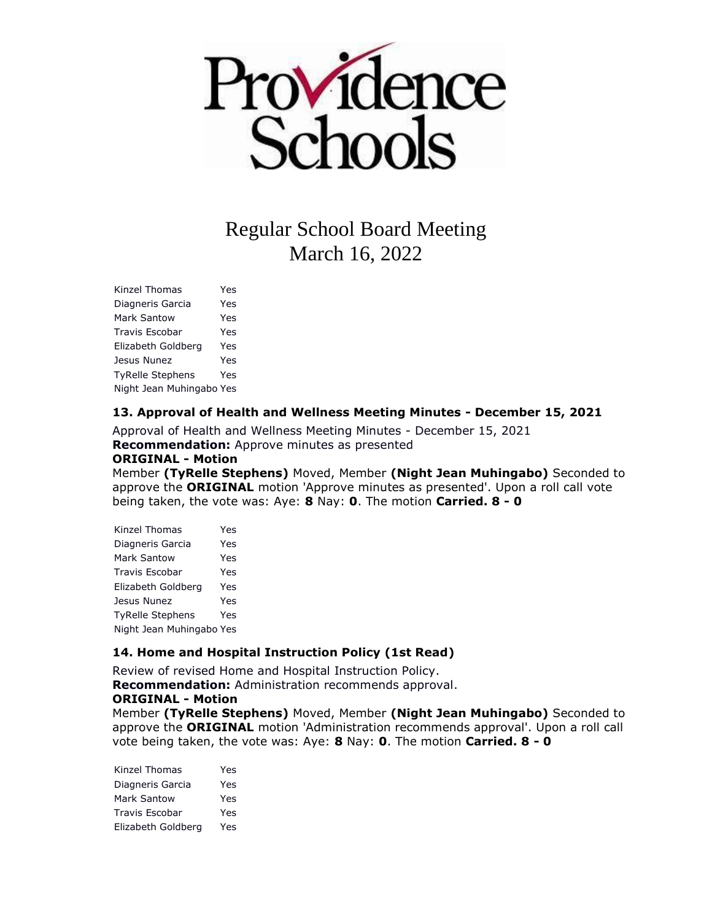

Kinzel Thomas Yes Diagneris Garcia Yes Mark Santow Yes Travis Escobar Yes Elizabeth Goldberg Yes Jesus Nunez Yes TyRelle Stephens Yes Night Jean Muhingabo Yes

### **13. Approval of Health and Wellness Meeting Minutes - December 15, 2021**

Approval of Health and Wellness Meeting Minutes - December 15, 2021 **Recommendation:** Approve minutes as presented **ORIGINAL - Motion**

Member **(TyRelle Stephens)** Moved, Member **(Night Jean Muhingabo)** Seconded to approve the **ORIGINAL** motion 'Approve minutes as presented'. Upon a roll call vote being taken, the vote was: Aye: **8** Nay: **0**. The motion **Carried. 8 - 0** 

| Kinzel Thomas            | Yes |
|--------------------------|-----|
| Diagneris Garcia         | Yes |
| Mark Santow              | Yes |
| <b>Travis Escobar</b>    | Yes |
| Elizabeth Goldberg       | Yes |
| Jesus Nunez              | Yes |
| <b>TyRelle Stephens</b>  | Yes |
| Night Jean Muhingabo Yes |     |

### **14. Home and Hospital Instruction Policy (1st Read)**

Review of revised Home and Hospital Instruction Policy. **Recommendation:** Administration recommends approval.

### **ORIGINAL - Motion**

Member **(TyRelle Stephens)** Moved, Member **(Night Jean Muhingabo)** Seconded to approve the **ORIGINAL** motion 'Administration recommends approval'. Upon a roll call vote being taken, the vote was: Aye: **8** Nay: **0**. The motion **Carried. 8 - 0** 

Kinzel Thomas Yes Diagneris Garcia Yes Mark Santow Yes Travis Escobar Yes Elizabeth Goldberg Yes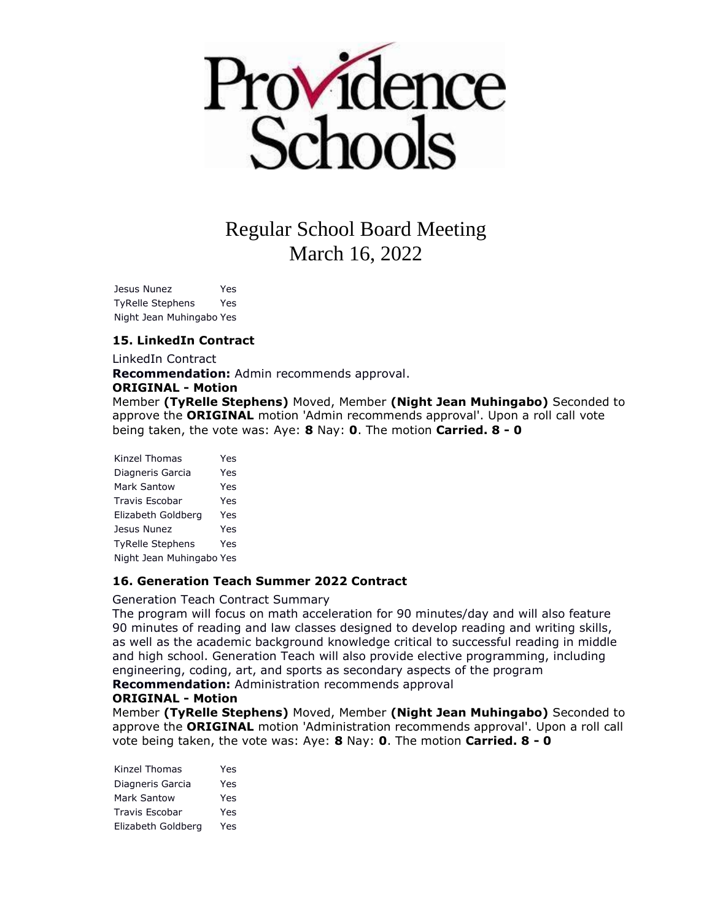

Jesus Nunez Yes TyRelle Stephens Yes Night Jean Muhingabo Yes

### **15. LinkedIn Contract**

LinkedIn Contract

**Recommendation:** Admin recommends approval.

#### **ORIGINAL - Motion**

Member **(TyRelle Stephens)** Moved, Member **(Night Jean Muhingabo)** Seconded to approve the **ORIGINAL** motion 'Admin recommends approval'. Upon a roll call vote being taken, the vote was: Aye: **8** Nay: **0**. The motion **Carried. 8 - 0** 

Kinzel Thomas Yes Diagneris Garcia Yes Mark Santow Yes Travis Escobar Yes Elizabeth Goldberg Yes Jesus Nunez Yes TyRelle Stephens Yes Night Jean Muhingabo Yes

### **16. Generation Teach Summer 2022 Contract**

Generation Teach Contract Summary

The program will focus on math acceleration for 90 minutes/day and will also feature 90 minutes of reading and law classes designed to develop reading and writing skills, as well as the academic background knowledge critical to successful reading in middle and high school. Generation Teach will also provide elective programming, including engineering, coding, art, and sports as secondary aspects of the program **Recommendation:** Administration recommends approval

#### **ORIGINAL - Motion**

Member **(TyRelle Stephens)** Moved, Member **(Night Jean Muhingabo)** Seconded to approve the **ORIGINAL** motion 'Administration recommends approval'. Upon a roll call vote being taken, the vote was: Aye: **8** Nay: **0**. The motion **Carried. 8 - 0** 

Kinzel Thomas Yes Diagneris Garcia Yes Mark Santow Yes Travis Escobar Yes Elizabeth Goldberg Yes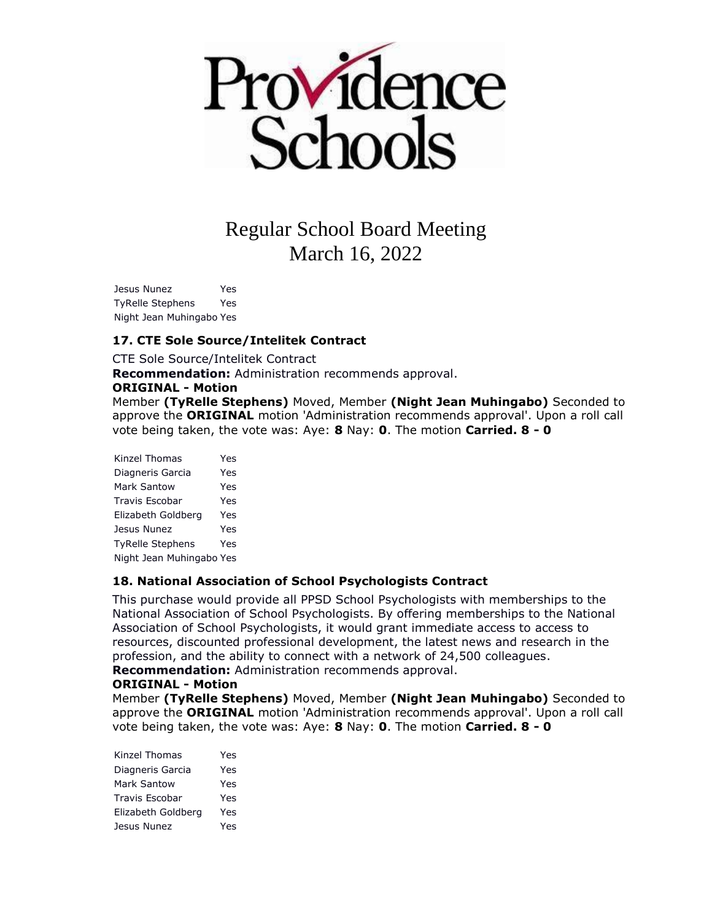

Jesus Nunez Yes TyRelle Stephens Yes Night Jean Muhingabo Yes

## **17. CTE Sole Source/Intelitek Contract**

CTE Sole Source/Intelitek Contract

**Recommendation:** Administration recommends approval.

#### **ORIGINAL - Motion**

Member **(TyRelle Stephens)** Moved, Member **(Night Jean Muhingabo)** Seconded to approve the **ORIGINAL** motion 'Administration recommends approval'. Upon a roll call vote being taken, the vote was: Aye: **8** Nay: **0**. The motion **Carried. 8 - 0** 

| Kinzel Thomas            | Yes |
|--------------------------|-----|
| Diagneris Garcia         | Yes |
| <b>Mark Santow</b>       | Yes |
| Travis Escobar           | Yes |
| Elizabeth Goldberg       | Yes |
| Jesus Nunez              | Yes |
| <b>TyRelle Stephens</b>  | Yes |
| Night Jean Muhingabo Yes |     |

### **18. National Association of School Psychologists Contract**

This purchase would provide all PPSD School Psychologists with memberships to the National Association of School Psychologists. By offering memberships to the National Association of School Psychologists, it would grant immediate access to access to resources, discounted professional development, the latest news and research in the profession, and the ability to connect with a network of 24,500 colleagues. **Recommendation:** Administration recommends approval.

#### **ORIGINAL - Motion**

Member **(TyRelle Stephens)** Moved, Member **(Night Jean Muhingabo)** Seconded to approve the **ORIGINAL** motion 'Administration recommends approval'. Upon a roll call vote being taken, the vote was: Aye: **8** Nay: **0**. The motion **Carried. 8 - 0** 

| Kinzel Thomas         | Yes |
|-----------------------|-----|
| Diagneris Garcia      | Yes |
| Mark Santow           | Yes |
| <b>Travis Escobar</b> | Yes |
| Elizabeth Goldberg    | Yes |
| Jesus Nunez           | Yes |
|                       |     |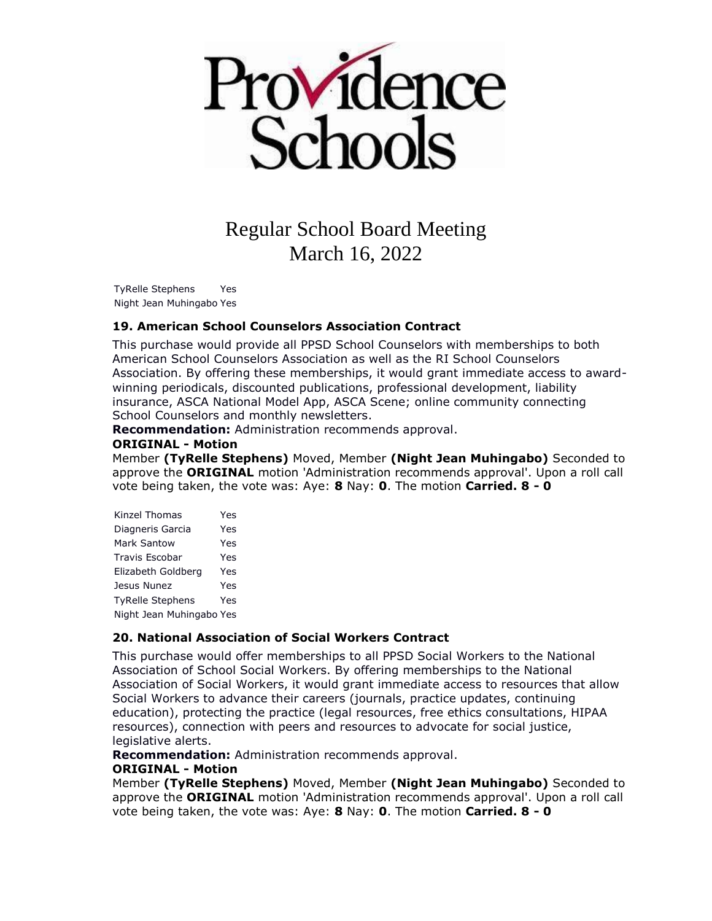

TyRelle Stephens Yes Night Jean Muhingabo Yes

### **19. American School Counselors Association Contract**

This purchase would provide all PPSD School Counselors with memberships to both American School Counselors Association as well as the RI School Counselors Association. By offering these memberships, it would grant immediate access to awardwinning periodicals, discounted publications, professional development, liability insurance, ASCA National Model App, ASCA Scene; online community connecting School Counselors and monthly newsletters.

**Recommendation:** Administration recommends approval.

#### **ORIGINAL - Motion**

Member **(TyRelle Stephens)** Moved, Member **(Night Jean Muhingabo)** Seconded to approve the **ORIGINAL** motion 'Administration recommends approval'. Upon a roll call vote being taken, the vote was: Aye: **8** Nay: **0**. The motion **Carried. 8 - 0** 

| Kinzel Thomas            | Yes |
|--------------------------|-----|
| Diagneris Garcia         | Yes |
| Mark Santow              | Yes |
| <b>Travis Escobar</b>    | Yes |
| Elizabeth Goldberg       | Yes |
| Jesus Nunez              | Yes |
| <b>TyRelle Stephens</b>  | Yes |
| Night Jean Muhingabo Yes |     |

### **20. National Association of Social Workers Contract**

This purchase would offer memberships to all PPSD Social Workers to the National Association of School Social Workers. By offering memberships to the National Association of Social Workers, it would grant immediate access to resources that allow Social Workers to advance their careers (journals, practice updates, continuing education), protecting the practice (legal resources, free ethics consultations, HIPAA resources), connection with peers and resources to advocate for social justice, legislative alerts.

**Recommendation:** Administration recommends approval.

#### **ORIGINAL - Motion**

Member **(TyRelle Stephens)** Moved, Member **(Night Jean Muhingabo)** Seconded to approve the **ORIGINAL** motion 'Administration recommends approval'. Upon a roll call vote being taken, the vote was: Aye: **8** Nay: **0**. The motion **Carried. 8 - 0**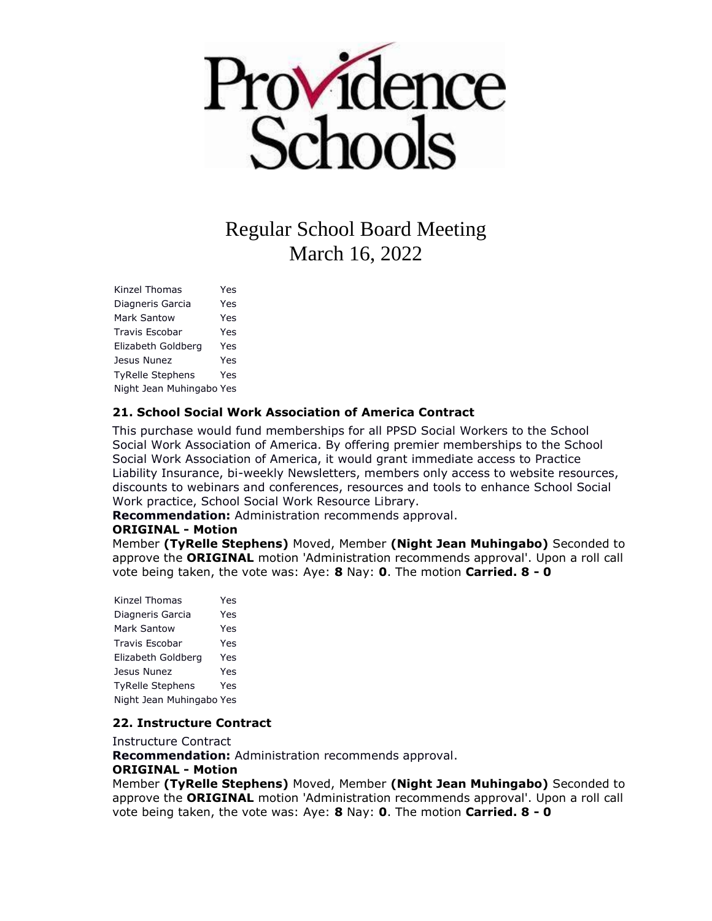

Kinzel Thomas Yes Diagneris Garcia Yes Mark Santow Yes Travis Escobar Yes Elizabeth Goldberg Yes Jesus Nunez Yes TyRelle Stephens Yes Night Jean Muhingabo Yes

### **21. School Social Work Association of America Contract**

This purchase would fund memberships for all PPSD Social Workers to the School Social Work Association of America. By offering premier memberships to the School Social Work Association of America, it would grant immediate access to Practice Liability Insurance, bi-weekly Newsletters, members only access to website resources, discounts to webinars and conferences, resources and tools to enhance School Social Work practice, School Social Work Resource Library.

**Recommendation:** Administration recommends approval.

### **ORIGINAL - Motion**

Member **(TyRelle Stephens)** Moved, Member **(Night Jean Muhingabo)** Seconded to approve the **ORIGINAL** motion 'Administration recommends approval'. Upon a roll call vote being taken, the vote was: Aye: **8** Nay: **0**. The motion **Carried. 8 - 0** 

Kinzel Thomas Yes Diagneris Garcia Yes Mark Santow Yes Travis Escobar Yes Elizabeth Goldberg Yes Jesus Nunez Yes TyRelle Stephens Yes Night Jean Muhingabo Yes

### **22. Instructure Contract**

Instructure Contract

**Recommendation:** Administration recommends approval.

#### **ORIGINAL - Motion**

Member **(TyRelle Stephens)** Moved, Member **(Night Jean Muhingabo)** Seconded to approve the **ORIGINAL** motion 'Administration recommends approval'. Upon a roll call vote being taken, the vote was: Aye: **8** Nay: **0**. The motion **Carried. 8 - 0**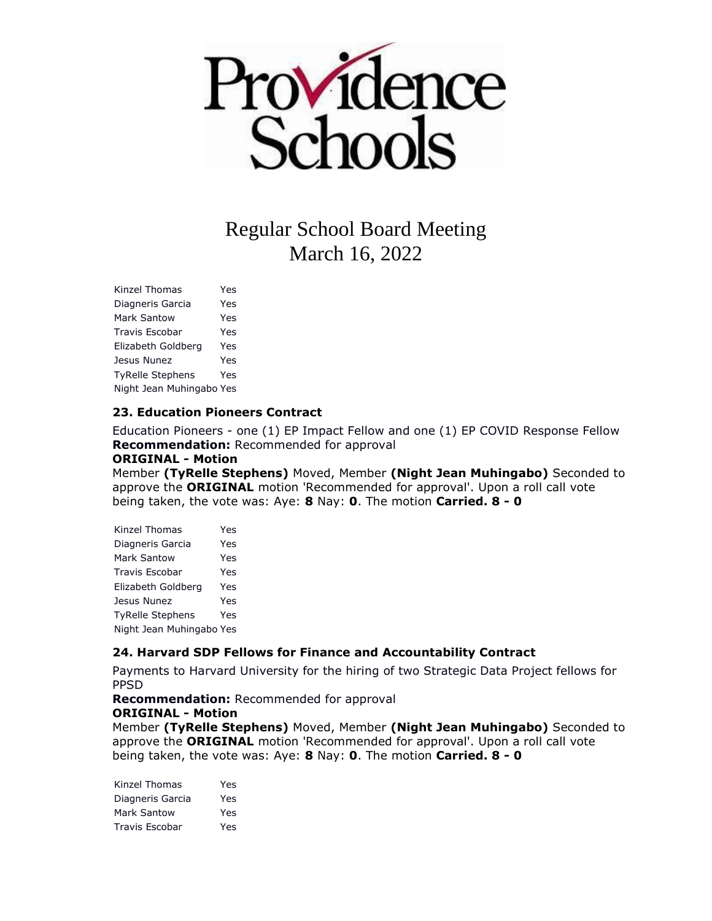

Kinzel Thomas Yes Diagneris Garcia Yes Mark Santow Yes Travis Escobar Yes Elizabeth Goldberg Yes Jesus Nunez Yes TyRelle Stephens Yes Night Jean Muhingabo Yes

### **23. Education Pioneers Contract**

Education Pioneers - one (1) EP Impact Fellow and one (1) EP COVID Response Fellow **Recommendation:** Recommended for approval

#### **ORIGINAL - Motion**

Member **(TyRelle Stephens)** Moved, Member **(Night Jean Muhingabo)** Seconded to approve the **ORIGINAL** motion 'Recommended for approval'. Upon a roll call vote being taken, the vote was: Aye: **8** Nay: **0**. The motion **Carried. 8 - 0** 

| Kinzel Thomas            | Yes |
|--------------------------|-----|
| Diagneris Garcia         | Yes |
| Mark Santow              | Yes |
| Travis Escobar           | Yes |
| Elizabeth Goldberg       | Yes |
| Jesus Nunez              | Yes |
| <b>TyRelle Stephens</b>  | Yes |
| Night Jean Muhingabo Yes |     |

### **24. Harvard SDP Fellows for Finance and Accountability Contract**

Payments to Harvard University for the hiring of two Strategic Data Project fellows for PPSD

**Recommendation:** Recommended for approval

#### **ORIGINAL - Motion**

Member **(TyRelle Stephens)** Moved, Member **(Night Jean Muhingabo)** Seconded to approve the **ORIGINAL** motion 'Recommended for approval'. Upon a roll call vote being taken, the vote was: Aye: **8** Nay: **0**. The motion **Carried. 8 - 0** 

Kinzel Thomas Yes Diagneris Garcia Yes Mark Santow Yes Travis Escobar Yes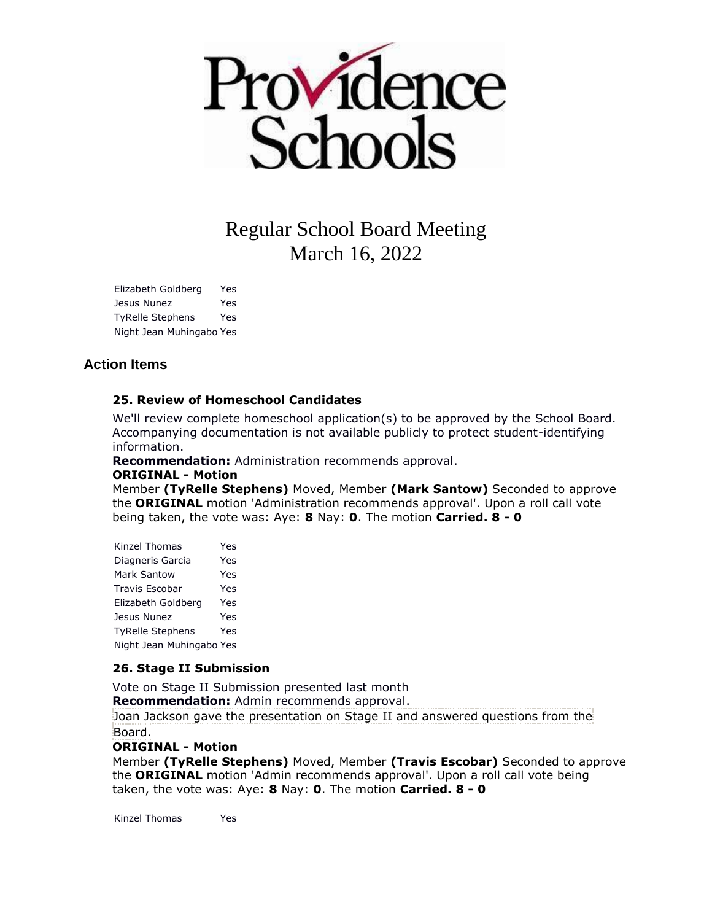

Elizabeth Goldberg Yes Jesus Nunez Yes TyRelle Stephens Yes Night Jean Muhingabo Yes

# **Action Items**

## **25. Review of Homeschool Candidates**

We'll review complete homeschool application(s) to be approved by the School Board. Accompanying documentation is not available publicly to protect student-identifying information.

**Recommendation:** Administration recommends approval.

### **ORIGINAL - Motion**

Member **(TyRelle Stephens)** Moved, Member **(Mark Santow)** Seconded to approve the **ORIGINAL** motion 'Administration recommends approval'. Upon a roll call vote being taken, the vote was: Aye: **8** Nay: **0**. The motion **Carried. 8 - 0** 

| Kinzel Thomas            | Yes |
|--------------------------|-----|
| Diagneris Garcia         | Yes |
| Mark Santow              | Yes |
| <b>Travis Escobar</b>    | Yes |
| Elizabeth Goldberg       | Yes |
| Jesus Nunez              | Yes |
| <b>TyRelle Stephens</b>  | Yes |
| Night Jean Muhingabo Yes |     |

### **26. Stage II Submission**

Vote on Stage II Submission presented last month **Recommendation:** Admin recommends approval. Joan Jackson gave the presentation on Stage II and answered questions from the

Board.

### **ORIGINAL - Motion**

Member **(TyRelle Stephens)** Moved, Member **(Travis Escobar)** Seconded to approve the **ORIGINAL** motion 'Admin recommends approval'. Upon a roll call vote being taken, the vote was: Aye: **8** Nay: **0**. The motion **Carried. 8 - 0** 

Kinzel Thomas Yes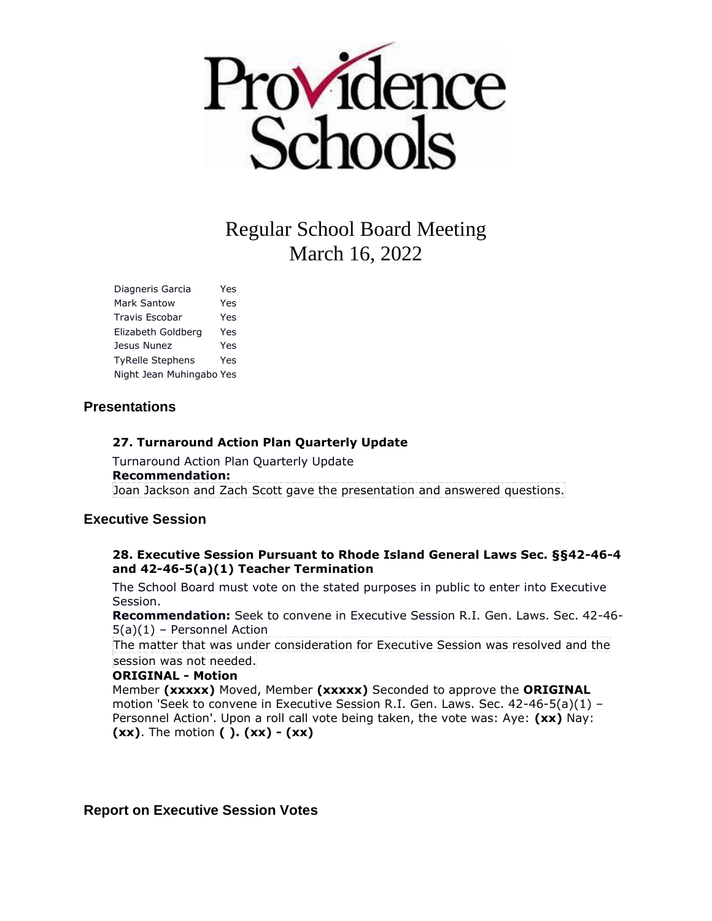

Diagneris Garcia Yes Mark Santow Yes Travis Escobar Yes Elizabeth Goldberg Yes Jesus Nunez Yes TyRelle Stephens Yes Night Jean Muhingabo Yes

## **Presentations**

## **27. Turnaround Action Plan Quarterly Update**

Turnaround Action Plan Quarterly Update **Recommendation:** Joan Jackson and Zach Scott gave the presentation and answered questions.

## **Executive Session**

### **28. Executive Session Pursuant to Rhode Island General Laws Sec. §§42-46-4 and 42-46-5(a)(1) Teacher Termination**

The School Board must vote on the stated purposes in public to enter into Executive Session.

**Recommendation:** Seek to convene in Executive Session R.I. Gen. Laws. Sec. 42-46- 5(a)(1) – Personnel Action

The matter that was under consideration for Executive Session was resolved and the session was not needed.

### **ORIGINAL - Motion**

Member **(xxxxx)** Moved, Member **(xxxxx)** Seconded to approve the **ORIGINAL**  motion 'Seek to convene in Executive Session R.I. Gen. Laws. Sec. 42-46-5(a)(1) – Personnel Action'. Upon a roll call vote being taken, the vote was: Aye: **(xx)** Nay: **(xx)**. The motion **( ). (xx) - (xx)** 

## **Report on Executive Session Votes**